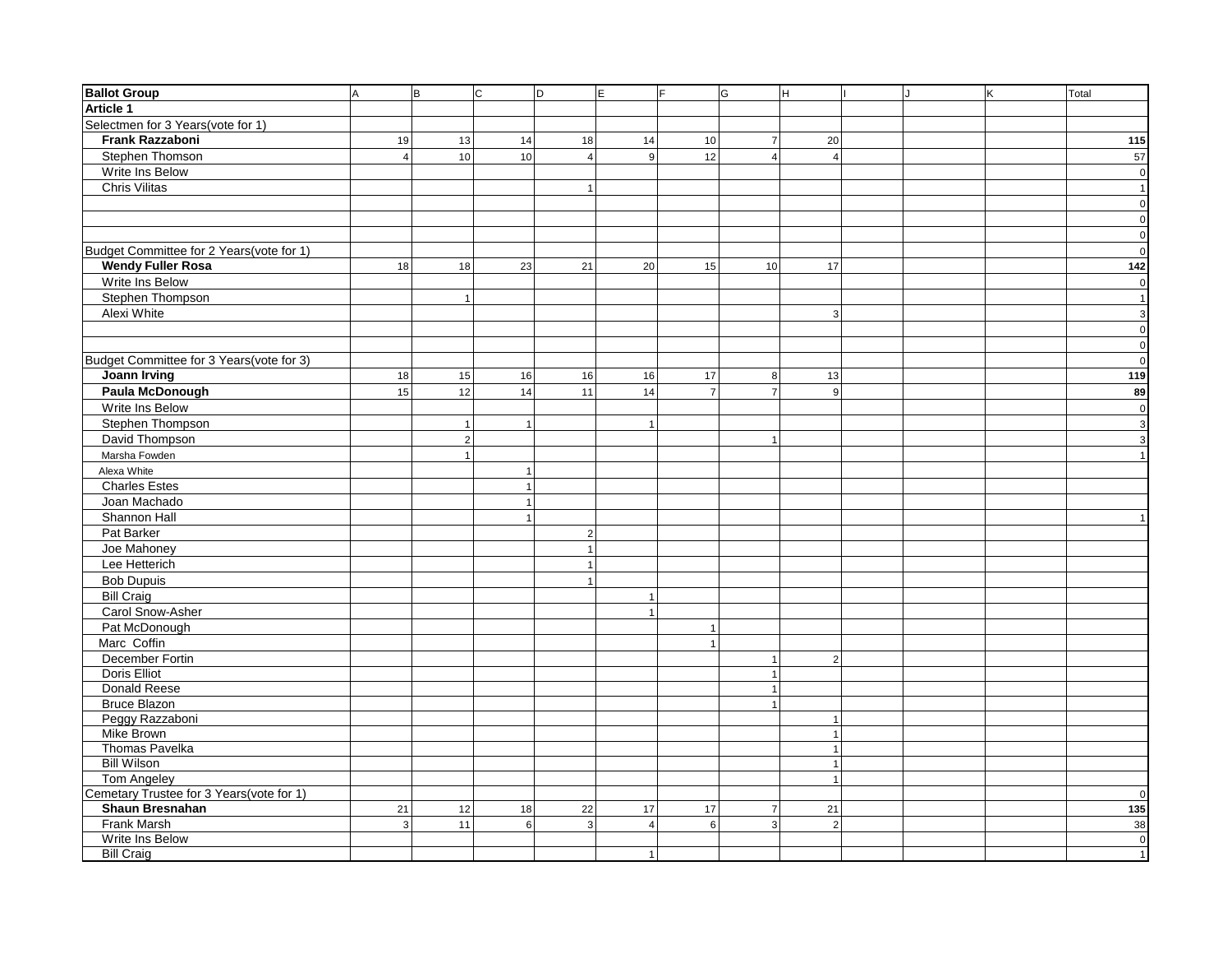| <b>Ballot Group</b>                       | l A            | lв             | $\overline{c}$  | $\overline{D}$ | E              | F              | G                | Iн.                          | J | K | Total                          |
|-------------------------------------------|----------------|----------------|-----------------|----------------|----------------|----------------|------------------|------------------------------|---|---|--------------------------------|
| <b>Article 1</b>                          |                |                |                 |                |                |                |                  |                              |   |   |                                |
| Selectmen for 3 Years(vote for 1)         |                |                |                 |                |                |                |                  |                              |   |   |                                |
| Frank Razzaboni                           | 19             | 13             | 14              | 18             | 14             | 10             | $\boldsymbol{7}$ | 20                           |   |   | 115                            |
| Stephen Thomson                           | $\vert$ 4      | 10             | 10 <sup>1</sup> | $\overline{4}$ | $\overline{9}$ | 12             | $\overline{4}$   | $\overline{4}$               |   |   | 57                             |
| Write Ins Below                           |                |                |                 |                |                |                |                  |                              |   |   | $\circ$                        |
| Chris Vilitas                             |                |                |                 | $\mathbf{1}$   |                |                |                  |                              |   |   | 1                              |
|                                           |                |                |                 |                |                |                |                  |                              |   |   | $\circ$                        |
|                                           |                |                |                 |                |                |                |                  |                              |   |   | $\circ$                        |
|                                           |                |                |                 |                |                |                |                  |                              |   |   | $\mathbf{0}$                   |
| Budget Committee for 2 Years(vote for 1)  |                |                |                 |                |                |                |                  |                              |   |   | $\mathbf{0}$                   |
| <b>Wendy Fuller Rosa</b>                  | 18             | 18             | 23              | 21             | 20             | 15             | 10               | 17                           |   |   | $\boxed{142}$                  |
| Write Ins Below                           |                |                |                 |                |                |                |                  |                              |   |   | $\mathbf 0$                    |
| Stephen Thompson                          |                | $\mathbf{1}$   |                 |                |                |                |                  |                              |   |   | 1                              |
| Alexi White                               |                |                |                 |                |                |                |                  | 3 <sup>1</sup>               |   |   | $\mathbf{3}$                   |
|                                           |                |                |                 |                |                |                |                  |                              |   |   | $\circ$                        |
|                                           |                |                |                 |                |                |                |                  |                              |   |   | $\mathbf 0$                    |
| Budget Committee for 3 Years(vote for 3)  |                |                |                 |                |                |                |                  |                              |   |   | $\circ$                        |
| <b>Joann Irving</b>                       | 18             | 15             | 16              | 16             | 16             | 17             | 8                | 13                           |   |   | 119                            |
| <b>Paula McDonough</b>                    | 15             | 12             | 14              | 11             | 14             | $\overline{7}$ | $\overline{7}$   | 9                            |   |   | 89                             |
| Write Ins Below                           |                |                |                 |                |                |                |                  |                              |   |   | $\mathbf 0$                    |
| Stephen Thompson                          |                | $\mathbf{1}$   | $\overline{1}$  |                | 1              |                |                  |                              |   |   |                                |
| David Thompson                            |                | $\overline{2}$ |                 |                |                |                | $\mathbf{1}$     |                              |   |   | $\mathbf{3}$<br>$\overline{3}$ |
|                                           |                | $\mathbf{1}$   |                 |                |                |                |                  |                              |   |   |                                |
| Marsha Fowden                             |                |                |                 |                |                |                |                  |                              |   |   | 1                              |
| Alexa White                               |                |                | $\overline{1}$  |                |                |                |                  |                              |   |   |                                |
| <b>Charles Estes</b>                      |                |                | $\overline{1}$  |                |                |                |                  |                              |   |   |                                |
| Joan Machado                              |                |                | $\overline{1}$  |                |                |                |                  |                              |   |   |                                |
| Shannon Hall                              |                |                |                 |                |                |                |                  |                              |   |   |                                |
| Pat Barker                                |                |                |                 | $\overline{2}$ |                |                |                  |                              |   |   |                                |
| Joe Mahoney                               |                |                |                 | $\overline{1}$ |                |                |                  |                              |   |   |                                |
| Lee Hetterich                             |                |                |                 | $\overline{1}$ |                |                |                  |                              |   |   |                                |
| <b>Bob Dupuis</b>                         |                |                |                 | $\overline{1}$ |                |                |                  |                              |   |   |                                |
| <b>Bill Craig</b>                         |                |                |                 |                | 1              |                |                  |                              |   |   |                                |
| Carol Snow-Asher                          |                |                |                 |                | 1              |                |                  |                              |   |   |                                |
| Pat McDonough                             |                |                |                 |                |                | $\overline{1}$ |                  |                              |   |   |                                |
| Marc Coffin                               |                |                |                 |                |                | $\overline{1}$ |                  |                              |   |   |                                |
| December Fortin                           |                |                |                 |                |                |                | $\mathbf{1}$     | 2 <sup>1</sup>               |   |   |                                |
| Doris Elliot                              |                |                |                 |                |                |                | $\mathbf{1}$     |                              |   |   |                                |
| Donald Reese                              |                |                |                 |                |                |                | $\mathbf{1}$     |                              |   |   |                                |
| <b>Bruce Blazon</b>                       |                |                |                 |                |                |                | $\mathbf{1}$     |                              |   |   |                                |
| Peggy Razzaboni                           |                |                |                 |                |                |                |                  | $\overline{1}$               |   |   |                                |
| <b>Mike Brown</b>                         |                |                |                 |                |                |                |                  | $\mathbf{1}$                 |   |   |                                |
| Thomas Pavelka<br><b>Bill Wilson</b>      |                |                |                 |                |                |                |                  | $\mathbf{1}$<br>$\mathbf{1}$ |   |   |                                |
| <b>Tom Angeley</b>                        |                |                |                 |                |                |                |                  | $\overline{1}$               |   |   |                                |
| Cemetary Trustee for 3 Years (vote for 1) |                |                |                 |                |                |                |                  |                              |   |   | $\overline{0}$                 |
| <b>Shaun Bresnahan</b>                    | 21             | 12             | 18              | 22             | 17             | 17             | $\overline{7}$   | 21                           |   |   | 135                            |
| <b>Frank Marsh</b>                        | 3 <sup>1</sup> | 11             | 6 <sup>1</sup>  | $\mathbf{3}$   | $\overline{4}$ | $\,6\,$        | $\mathsf 3$      | 2 <sup>1</sup>               |   |   | 38                             |
| Write Ins Below                           |                |                |                 |                |                |                |                  |                              |   |   | $\circ$                        |
| <b>Bill Craig</b>                         |                |                |                 |                | 1              |                |                  |                              |   |   | 1                              |
|                                           |                |                |                 |                |                |                |                  |                              |   |   |                                |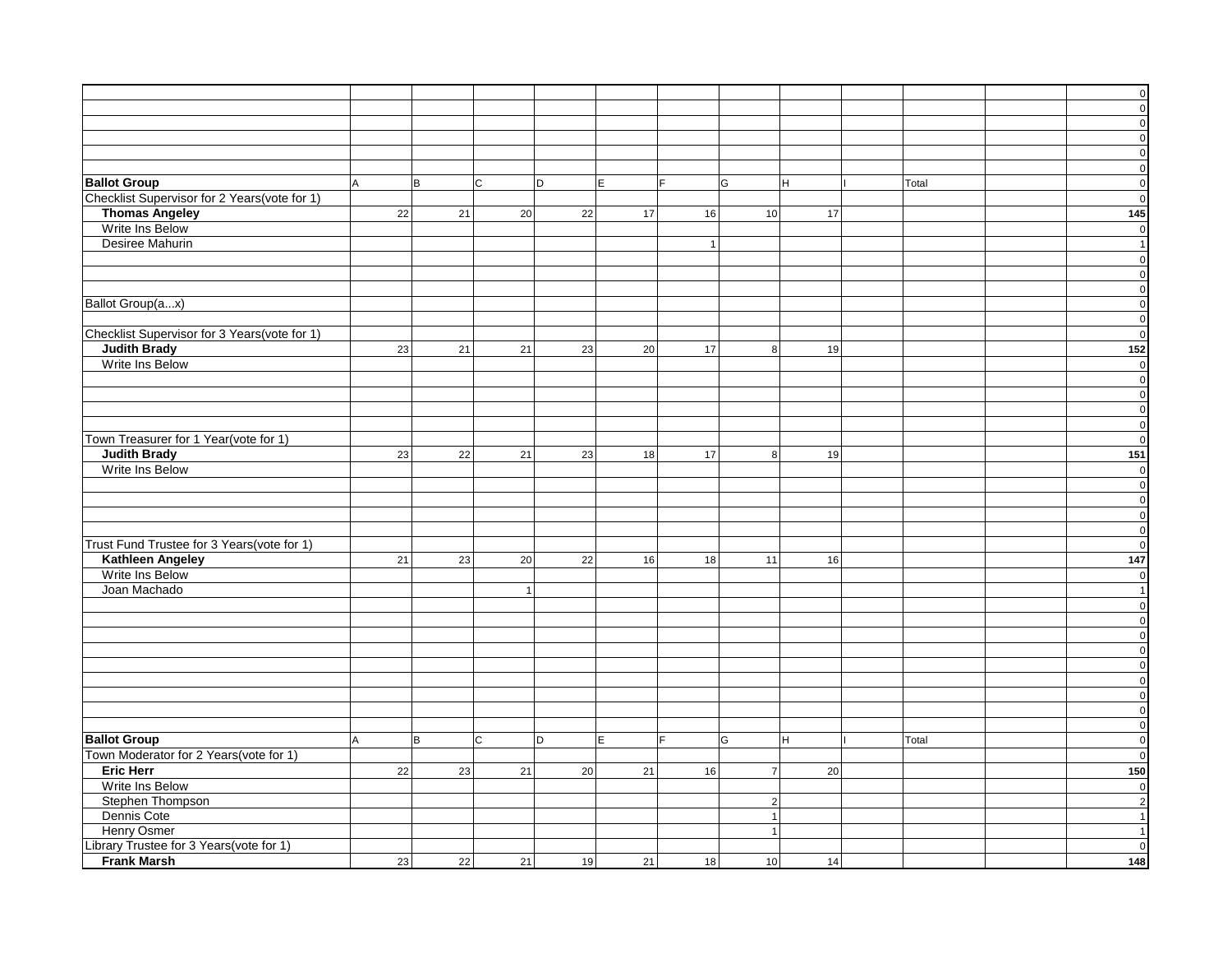|                                              |     |     |                |    |                |                 |    |       | $\circ$                 |
|----------------------------------------------|-----|-----|----------------|----|----------------|-----------------|----|-------|-------------------------|
|                                              |     |     |                |    |                |                 |    |       | $\overline{\mathbf{0}}$ |
|                                              |     |     |                |    |                |                 |    |       |                         |
|                                              |     |     |                |    |                |                 |    |       | $\mathbf{0}$            |
|                                              |     |     |                |    |                |                 |    |       | $\circ$                 |
|                                              |     |     |                |    |                |                 |    |       | $\circ$                 |
|                                              |     |     |                |    |                |                 |    |       | $\circ$                 |
| <b>Ballot Group</b>                          | A   | lв. | $\mathsf{C}$   | D  | E<br>F         | G               | lн | Total | $\mathbf{0}$            |
| Checklist Supervisor for 2 Years(vote for 1) |     |     |                |    |                |                 |    |       | $\overline{0}$          |
| <b>Thomas Angeley</b>                        | 22  | 21  | 20             | 22 | 17<br>16       | 10 <sup>1</sup> | 17 |       | 145                     |
| Write Ins Below                              |     |     |                |    |                |                 |    |       | $\mathbf{0}$            |
| Desiree Mahurin                              |     |     |                |    | $\overline{1}$ |                 |    |       | $\vert$                 |
|                                              |     |     |                |    |                |                 |    |       |                         |
|                                              |     |     |                |    |                |                 |    |       | $\overline{0}$          |
|                                              |     |     |                |    |                |                 |    |       | $\circ$                 |
|                                              |     |     |                |    |                |                 |    |       | $\circ$                 |
| Ballot Group(ax)                             |     |     |                |    |                |                 |    |       | $\overline{0}$          |
|                                              |     |     |                |    |                |                 |    |       | $\mathbf{0}$            |
| Checklist Supervisor for 3 Years(vote for 1) |     |     |                |    |                |                 |    |       | $\mathbf 0$             |
| <b>Judith Brady</b>                          | 23  | 21  | 21             | 23 | 17<br>20       | 8 <sup>1</sup>  | 19 |       | 152                     |
| Write Ins Below                              |     |     |                |    |                |                 |    |       | $\mathbf{0}$            |
|                                              |     |     |                |    |                |                 |    |       | $\overline{0}$          |
|                                              |     |     |                |    |                |                 |    |       | $\circ$                 |
|                                              |     |     |                |    |                |                 |    |       | $\circ$                 |
|                                              |     |     |                |    |                |                 |    |       |                         |
|                                              |     |     |                |    |                |                 |    |       | $\mathbf{0}$            |
| Town Treasurer for 1 Year(vote for 1)        |     |     |                |    |                |                 |    |       | $\mathbf 0$             |
| <b>Judith Brady</b>                          | 23  | 22  | 21             | 23 | 17<br>18       | 8 <sup>1</sup>  | 19 |       | 151                     |
| Write Ins Below                              |     |     |                |    |                |                 |    |       | $\mathbf{0}$            |
|                                              |     |     |                |    |                |                 |    |       | $\circ$                 |
|                                              |     |     |                |    |                |                 |    |       | $\circ$                 |
|                                              |     |     |                |    |                |                 |    |       | $\overline{0}$          |
|                                              |     |     |                |    |                |                 |    |       | $\mathbf{0}$            |
| Trust Fund Trustee for 3 Years(vote for 1)   |     |     |                |    |                |                 |    |       | $\mathbf 0$             |
| <b>Kathleen Angeley</b>                      | 21  | 23  | 20             | 22 | 18<br>16       | 11              | 16 |       | $\overline{147}$        |
| Write Ins Below                              |     |     |                |    |                |                 |    |       |                         |
|                                              |     |     |                |    |                |                 |    |       | $\overline{0}$          |
| Joan Machado                                 |     |     | $\overline{1}$ |    |                |                 |    |       | 1                       |
|                                              |     |     |                |    |                |                 |    |       | $\circ$                 |
|                                              |     |     |                |    |                |                 |    |       | $\circ$                 |
|                                              |     |     |                |    |                |                 |    |       | $\overline{0}$          |
|                                              |     |     |                |    |                |                 |    |       | $\circ$                 |
|                                              |     |     |                |    |                |                 |    |       | $\circ$                 |
|                                              |     |     |                |    |                |                 |    |       | $\circ$                 |
|                                              |     |     |                |    |                |                 |    |       | $\circ$                 |
|                                              |     |     |                |    |                |                 |    |       | $\overline{0}$          |
|                                              |     |     |                |    |                |                 |    |       | $\circ$                 |
| <b>Ballot Group</b>                          | la. | lв. | C              | D  | E<br>lF.       | G               | lн | Total | $\mathbf{0}$            |
| Town Moderator for 2 Years(vote for 1)       |     |     |                |    |                |                 |    |       | $\mathbf 0$             |
| <b>Eric Herr</b>                             |     |     |                |    | 16             | $\overline{7}$  |    |       |                         |
|                                              | 22  | 23  | 21             | 20 | 21             |                 | 20 |       | 150                     |
| Write Ins Below                              |     |     |                |    |                |                 |    |       | 0                       |
| Stephen Thompson                             |     |     |                |    |                | $2\vert$        |    |       | $\overline{2}$          |
| Dennis Cote                                  |     |     |                |    |                | 1               |    |       | $\vert$ 1               |
| <b>Henry Osmer</b>                           |     |     |                |    |                | $\mathbf{1}$    |    |       |                         |
| Library Trustee for 3 Years(vote for 1)      |     |     |                |    |                |                 |    |       | 0                       |
| <b>Frank Marsh</b>                           | 23  | 22  | 21             | 19 | 21<br>18       | 10              | 14 |       | 148                     |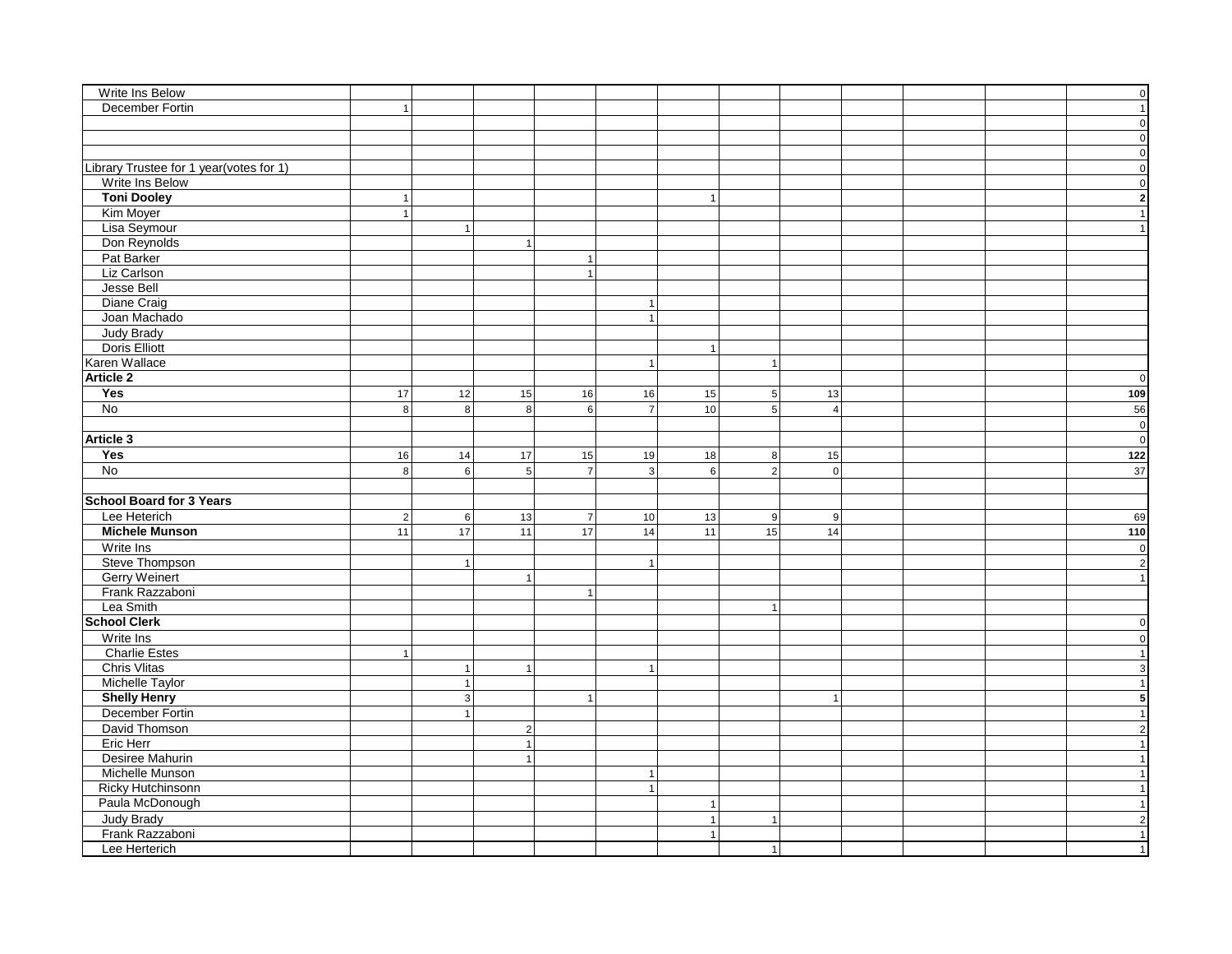| Write Ins Below                         |                |                  |                |                 |                |              |                |                |  | $\pmb{0}$               |
|-----------------------------------------|----------------|------------------|----------------|-----------------|----------------|--------------|----------------|----------------|--|-------------------------|
| December Fortin                         | $\overline{1}$ |                  |                |                 |                |              |                |                |  | 1                       |
|                                         |                |                  |                |                 |                |              |                |                |  | $\overline{0}$          |
|                                         |                |                  |                |                 |                |              |                |                |  | $\circ$                 |
|                                         |                |                  |                |                 |                |              |                |                |  | $\circ$                 |
| Library Trustee for 1 year(votes for 1) |                |                  |                |                 |                |              |                |                |  | $\overline{\mathbf{0}}$ |
| Write Ins Below                         |                |                  |                |                 |                |              |                |                |  | $\overline{\mathbf{0}}$ |
| <b>Toni Dooley</b>                      | $\mathbf{1}$   |                  |                |                 |                | $\mathbf{1}$ |                |                |  | $\overline{\mathbf{2}}$ |
| Kim Moyer                               | $\mathbf{1}$   |                  |                |                 |                |              |                |                |  | 1                       |
| Lisa Seymour                            |                | $\mathbf{1}$     |                |                 |                |              |                |                |  | 1                       |
| Don Reynolds                            |                |                  | $\overline{1}$ |                 |                |              |                |                |  |                         |
| Pat Barker                              |                |                  |                | $\mathbf{1}$    |                |              |                |                |  |                         |
| Liz Carlson                             |                |                  |                | $\mathbf{1}$    |                |              |                |                |  |                         |
| Jesse Bell                              |                |                  |                |                 |                |              |                |                |  |                         |
| Diane Craig                             |                |                  |                |                 | $\mathbf{1}$   |              |                |                |  |                         |
|                                         |                |                  |                |                 |                |              |                |                |  |                         |
| Joan Machado<br><b>Judy Brady</b>       |                |                  |                |                 | 1              |              |                |                |  |                         |
| Doris Elliott                           |                |                  |                |                 |                |              |                |                |  |                         |
|                                         |                |                  |                |                 |                | 1            |                |                |  |                         |
| Karen Wallace                           |                |                  |                |                 | $\overline{1}$ |              | 1              |                |  |                         |
| <b>Article 2</b>                        |                |                  |                |                 |                |              |                |                |  | $\overline{0}$          |
| Yes                                     | 17             | 12               | 15             | 16              | 16             | 15           | 5              | 13             |  | 109                     |
| $\overline{No}$                         | 8 <sup>1</sup> | $\bf 8$          | 8              | $6\phantom{a}$  | $\overline{7}$ | 10           | 5 <sup>1</sup> | $\overline{4}$ |  | 56                      |
|                                         |                |                  |                |                 |                |              |                |                |  | $\overline{\mathbf{0}}$ |
| Article 3                               |                |                  |                |                 |                |              |                |                |  | $\circ$                 |
| Yes                                     | 16             | 14               | 17             | 15              | 19             | 18           | 8 <sup>1</sup> | 15             |  | $122$                   |
| $\overline{No}$                         | 8 <sup>1</sup> | 6 <sup>1</sup>   | $\overline{5}$ | $\overline{7}$  | $\overline{3}$ | 6            | $\overline{2}$ | $\overline{0}$ |  | 37                      |
|                                         |                |                  |                |                 |                |              |                |                |  |                         |
| <b>School Board for 3 Years</b>         |                |                  |                |                 |                |              |                |                |  |                         |
| Lee Heterich                            | $\vert$ 2      | $6 \overline{6}$ | 13             | $\overline{7}$  | 10             | 13           | 9              | 9              |  | 69                      |
| <b>Michele Munson</b>                   | 11             | 17               | 11             | $\overline{17}$ | 14             | 11           | 15             | 14             |  | 110                     |
| Write Ins                               |                |                  |                |                 |                |              |                |                |  | $\circ$                 |
| Steve Thompson                          |                | $\mathbf{1}$     |                |                 |                |              |                |                |  | $\overline{2}$          |
| <b>Gerry Weinert</b>                    |                |                  | $\mathbf{1}$   |                 |                |              |                |                |  | 1                       |
| Frank Razzaboni                         |                |                  |                | $\overline{1}$  |                |              |                |                |  |                         |
| Lea Smith                               |                |                  |                |                 |                |              | $\mathbf{1}$   |                |  |                         |
| <b>School Clerk</b>                     |                |                  |                |                 |                |              |                |                |  | $\overline{0}$          |
| Write Ins                               |                |                  |                |                 |                |              |                |                |  | $\circ$                 |
| <b>Charlie Estes</b>                    | $\overline{1}$ |                  |                |                 |                |              |                |                |  | 1                       |
| <b>Chris Vlitas</b>                     |                | $\vert$ 1        | $\overline{1}$ |                 | $\mathbf{1}$   |              |                |                |  | $\overline{3}$          |
| Michelle Taylor                         |                | 1                |                |                 |                |              |                |                |  | $\vert$ 1               |
| <b>Shelly Henry</b>                     |                | $\overline{3}$   |                | $\overline{1}$  |                |              |                | $\overline{1}$ |  | $\overline{\mathbf{5}}$ |
| December Fortin                         |                | $\mathbf{1}$     |                |                 |                |              |                |                |  | 1                       |
| David Thomson                           |                |                  | $\overline{2}$ |                 |                |              |                |                |  | $\mathbf{2}$            |
| Eric Herr                               |                |                  | $\overline{1}$ |                 |                |              |                |                |  | 1                       |
| Desiree Mahurin                         |                |                  | $\overline{1}$ |                 |                |              |                |                |  | 1                       |
| Michelle Munson                         |                |                  |                |                 | $\overline{1}$ |              |                |                |  | 1                       |
| <b>Ricky Hutchinsonn</b>                |                |                  |                |                 | $\mathbf{1}$   |              |                |                |  | 1                       |
| Paula McDonough                         |                |                  |                |                 |                | 1            |                |                |  | 1                       |
|                                         |                |                  |                |                 |                |              |                |                |  |                         |
| Judy Brady                              |                |                  |                |                 |                | 1            | $\mathbf{1}$   |                |  | $\overline{2}$          |
| Frank Razzaboni                         |                |                  |                |                 |                | 1            |                |                |  | 1                       |
| Lee Herterich                           |                |                  |                |                 |                |              | 1              |                |  | 1                       |